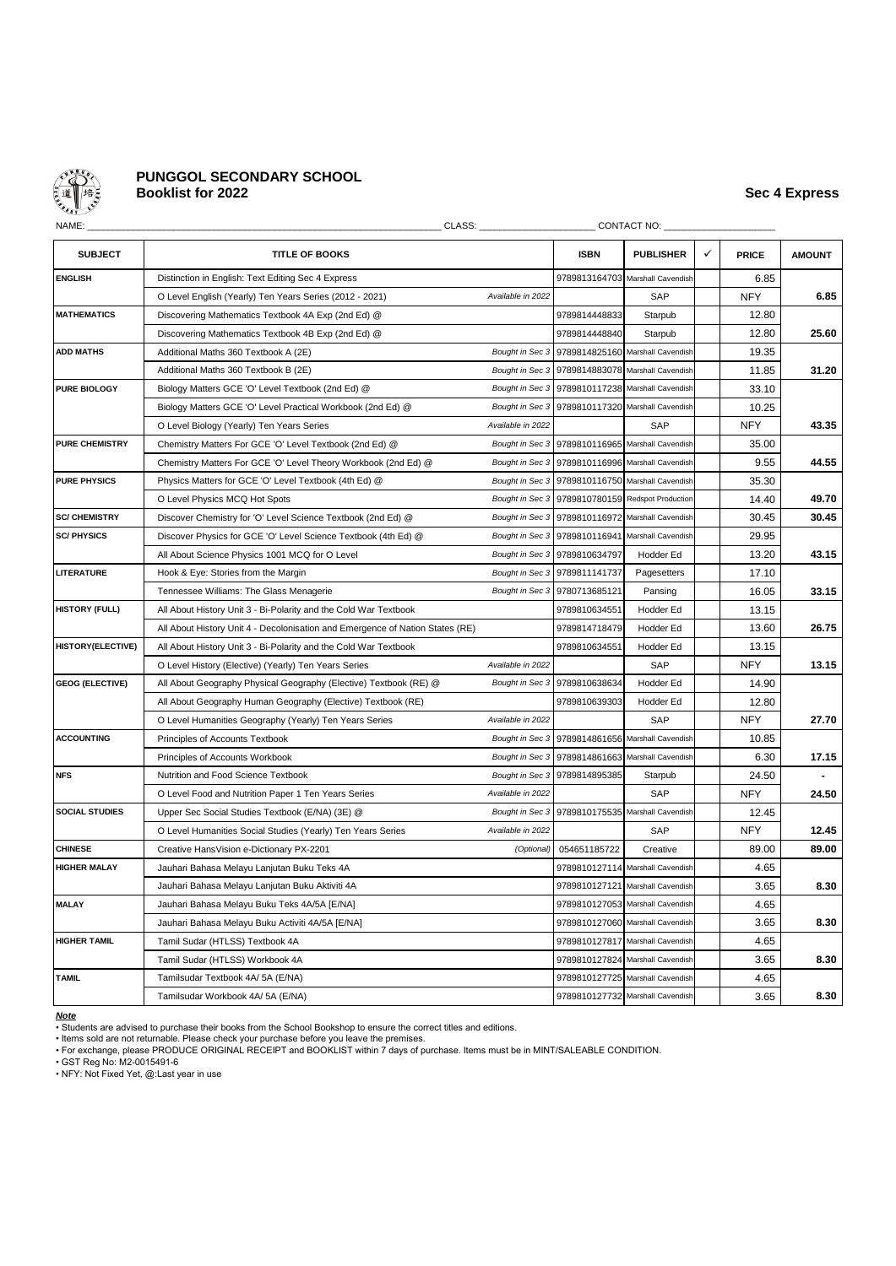

# **PUNGGOL SECONDARY SCHOOL Booklist for 2022 Sec 4 Express**

| NAME:                  | CLASS:                                                                        |                   |                               | CONTACT NO:                      |              |              |               |
|------------------------|-------------------------------------------------------------------------------|-------------------|-------------------------------|----------------------------------|--------------|--------------|---------------|
| <b>SUBJECT</b>         | <b>TITLE OF BOOKS</b>                                                         |                   | <b>ISBN</b>                   | <b>PUBLISHER</b>                 | $\checkmark$ | <b>PRICE</b> | <b>AMOUNT</b> |
| <b>ENGLISH</b>         | Distinction in English: Text Editing Sec 4 Express                            |                   | 9789813164703                 | Marshall Cavendish               |              | 6.85         |               |
|                        | O Level English (Yearly) Ten Years Series (2012 - 2021)                       | Available in 2022 |                               | SAP                              |              | <b>NFY</b>   | 6.85          |
| <b>MATHEMATICS</b>     | Discovering Mathematics Textbook 4A Exp (2nd Ed) @                            |                   | 9789814448833                 | Starpub                          |              | 12.80        |               |
|                        | Discovering Mathematics Textbook 4B Exp (2nd Ed) @                            |                   | 9789814448840                 | Starpub                          |              | 12.80        | 25.60         |
| <b>ADD MATHS</b>       | Additional Maths 360 Textbook A (2E)                                          | Bought in Sec 3   | 9789814825160                 | Marshall Cavendish               |              | 19.35        |               |
|                        | Additional Maths 360 Textbook B (2E)                                          | Bought in Sec 3   | 9789814883078                 | Marshall Cavendish               |              | 11.85        | 31.20         |
| PURE BIOLOGY           | Biology Matters GCE 'O' Level Textbook (2nd Ed) @                             | Bought in Sec 3   | 9789810117238                 | Marshall Cavendish               |              | 33.10        |               |
|                        | Biology Matters GCE 'O' Level Practical Workbook (2nd Ed) @                   |                   | Bought in Sec 3 9789810117320 | Marshall Cavendish               |              | 10.25        |               |
|                        | O Level Biology (Yearly) Ten Years Series                                     | Available in 2022 |                               | SAP                              |              | <b>NFY</b>   | 43.35         |
| <b>PURE CHEMISTRY</b>  | Chemistry Matters For GCE 'O' Level Textbook (2nd Ed) @                       |                   | Bought in Sec 3 9789810116965 | Marshall Cavendish               |              | 35.00        |               |
|                        | Chemistry Matters For GCE 'O' Level Theory Workbook (2nd Ed) @                |                   | Bought in Sec 3 9789810116996 | Marshall Cavendish               |              | 9.55         | 44.55         |
| <b>PURE PHYSICS</b>    | Physics Matters for GCE 'O' Level Textbook (4th Ed) @                         |                   | Bought in Sec 3 9789810116750 | Marshall Cavendish               |              | 35.30        |               |
|                        | O Level Physics MCQ Hot Spots                                                 | Bought in Sec 3   | 9789810780159                 | Redspot Production               |              | 14.40        | 49.70         |
| <b>SC/ CHEMISTRY</b>   | Discover Chemistry for 'O' Level Science Textbook (2nd Ed) @                  | Bought in Sec 3   | 9789810116972                 | Marshall Cavendish               |              | 30.45        | 30.45         |
| <b>SC/PHYSICS</b>      | Discover Physics for GCE 'O' Level Science Textbook (4th Ed) @                |                   | Bought in Sec 3 9789810116941 | Marshall Cavendish               |              | 29.95        |               |
|                        | All About Science Physics 1001 MCQ for O Level                                |                   | Bought in Sec 3 9789810634797 | Hodder Ed                        |              | 13.20        | 43.15         |
| LITERATURE             | Hook & Eye: Stories from the Margin                                           | Bought in Sec 3   | 9789811141737                 | Pagesetters                      |              | 17.10        |               |
|                        | Tennessee Williams: The Glass Menagerie                                       | Bought in Sec 3   | 9780713685121                 | Pansing                          |              | 16.05        | 33.15         |
| <b>HISTORY (FULL)</b>  | All About History Unit 3 - Bi-Polarity and the Cold War Textbook              |                   | 9789810634551                 | Hodder Ed                        |              | 13.15        |               |
|                        | All About History Unit 4 - Decolonisation and Emergence of Nation States (RE) |                   | 9789814718479                 | Hodder Ed                        |              | 13.60        | 26.75         |
| HISTORY(ELECTIVE)      | All About History Unit 3 - Bi-Polarity and the Cold War Textbook              |                   | 9789810634551                 | Hodder Ed                        |              | 13.15        |               |
|                        | O Level History (Elective) (Yearly) Ten Years Series                          | Available in 2022 |                               | SAP                              |              | <b>NFY</b>   | 13.15         |
| <b>GEOG (ELECTIVE)</b> | All About Geography Physical Geography (Elective) Textbook (RE) @             |                   | Bought in Sec 3 9789810638634 | Hodder Ed                        |              | 14.90        |               |
|                        | All About Geography Human Geography (Elective) Textbook (RE)                  |                   | 9789810639303                 | Hodder Ed                        |              | 12.80        |               |
|                        | O Level Humanities Geography (Yearly) Ten Years Series                        | Available in 2022 |                               | SAP                              |              | <b>NFY</b>   | 27.70         |
| <b>ACCOUNTING</b>      | Principles of Accounts Textbook                                               | Bought in Sec 3   | 9789814861656                 | Marshall Cavendish               |              | 10.85        |               |
|                        | Principles of Accounts Workbook                                               | Bought in Sec 3   | 9789814861663                 | Marshall Cavendish               |              | 6.30         | 17.15         |
| <b>NFS</b>             | Nutrition and Food Science Textbook                                           | Bought in Sec 3   | 9789814895385                 | Starpub                          |              | 24.50        |               |
|                        | O Level Food and Nutrition Paper 1 Ten Years Series                           | Available in 2022 |                               | SAP                              |              | <b>NFY</b>   | 24.50         |
| <b>SOCIAL STUDIES</b>  | Upper Sec Social Studies Textbook (E/NA) (3E) @                               | Bought in Sec 3   | 9789810175535                 | Marshall Cavendish               |              | 12.45        |               |
|                        | O Level Humanities Social Studies (Yearly) Ten Years Series                   | Available in 2022 |                               | SAP                              |              | <b>NFY</b>   | 12.45         |
| <b>CHINESE</b>         | Creative HansVision e-Dictionary PX-2201                                      | (Optional)        | 054651185722                  | Creative                         |              | 89.00        | 89.00         |
| <b>HIGHER MALAY</b>    | Jauhari Bahasa Melayu Lanjutan Buku Teks 4A                                   |                   | 9789810127114                 | Marshall Cavendish               |              | 4.65         |               |
|                        | Jauhari Bahasa Melayu Lanjutan Buku Aktiviti 4A                               |                   | 9789810127121                 | Marshall Cavendish               |              | 3.65         | 8.30          |
| <b>MALAY</b>           | Jauhari Bahasa Melayu Buku Teks 4A/5A [E/NA]                                  |                   | 9789810127053                 | Marshall Cavendish               |              | 4.65         |               |
|                        | Jauhari Bahasa Melayu Buku Activiti 4A/5A [E/NA]                              |                   | 9789810127060                 | Marshall Cavendish               |              | 3.65         | 8.30          |
| <b>HIGHER TAMIL</b>    | Tamil Sudar (HTLSS) Textbook 4A                                               |                   | 9789810127817                 | Marshall Cavendish               |              | 4.65         |               |
|                        | Tamil Sudar (HTLSS) Workbook 4A                                               |                   | 9789810127824                 | Marshall Cavendish               |              | 3.65         | 8.30          |
| <b>TAMIL</b>           | Tamilsudar Textbook 4A/ 5A (E/NA)                                             |                   |                               | 9789810127725 Marshall Cavendish |              | 4.65         |               |
|                        | Tamilsudar Workbook 4A/ 5A (E/NA)                                             |                   |                               | 9789810127732 Marshall Cavendish |              | 3.65         | 8.30          |

*Note*

• Students are advised to purchase their books from the School Bookshop to ensure the correct titles and editions.<br>• Items sold are not returnable. Please check your purchase before you leave the premises.<br>• For exchange,

• GST Reg No: M2-0015491-6 • NFY: Not Fixed Yet, @:Last year in use